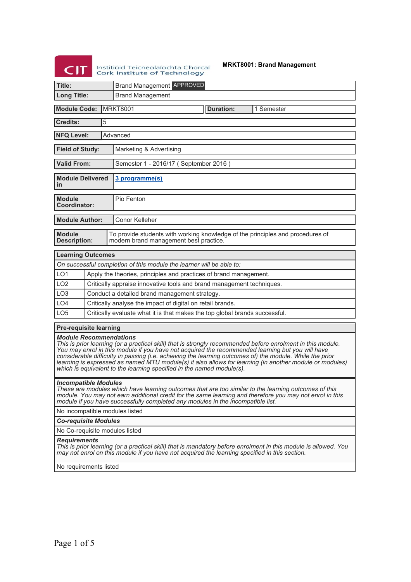# $CI$

Institiúid Teicneolaíochta Chorcaí<br>Cork Institute of Technology

**MRKT8001: Brand Management**

| Title:                                                                                                                                                                                                                                                                                                                                                                                                                                                                                                                                                  | <b>Brand Management APPROVED</b>                                                                                                           |                                                                                                                          |  |  |  |  |
|---------------------------------------------------------------------------------------------------------------------------------------------------------------------------------------------------------------------------------------------------------------------------------------------------------------------------------------------------------------------------------------------------------------------------------------------------------------------------------------------------------------------------------------------------------|--------------------------------------------------------------------------------------------------------------------------------------------|--------------------------------------------------------------------------------------------------------------------------|--|--|--|--|
| <b>Long Title:</b>                                                                                                                                                                                                                                                                                                                                                                                                                                                                                                                                      |                                                                                                                                            | <b>Brand Management</b>                                                                                                  |  |  |  |  |
| <b>Module Code:</b><br><b>IMRKT8001</b><br><b>Duration:</b><br>1 Semester                                                                                                                                                                                                                                                                                                                                                                                                                                                                               |                                                                                                                                            |                                                                                                                          |  |  |  |  |
| <b>Credits:</b>                                                                                                                                                                                                                                                                                                                                                                                                                                                                                                                                         | 5                                                                                                                                          |                                                                                                                          |  |  |  |  |
|                                                                                                                                                                                                                                                                                                                                                                                                                                                                                                                                                         | <b>NFQ Level:</b><br>Advanced                                                                                                              |                                                                                                                          |  |  |  |  |
| <b>Field of Study:</b><br>Marketing & Advertising                                                                                                                                                                                                                                                                                                                                                                                                                                                                                                       |                                                                                                                                            |                                                                                                                          |  |  |  |  |
| <b>Valid From:</b>                                                                                                                                                                                                                                                                                                                                                                                                                                                                                                                                      |                                                                                                                                            | Semester 1 - 2016/17 (September 2016)                                                                                    |  |  |  |  |
| <b>Module Delivered</b><br>in                                                                                                                                                                                                                                                                                                                                                                                                                                                                                                                           |                                                                                                                                            | 3 programme(s)                                                                                                           |  |  |  |  |
| <b>Module</b><br>Coordinator:                                                                                                                                                                                                                                                                                                                                                                                                                                                                                                                           |                                                                                                                                            | Pio Fenton                                                                                                               |  |  |  |  |
| <b>Module Author:</b>                                                                                                                                                                                                                                                                                                                                                                                                                                                                                                                                   |                                                                                                                                            | Conor Kelleher                                                                                                           |  |  |  |  |
| <b>Module</b><br><b>Description:</b>                                                                                                                                                                                                                                                                                                                                                                                                                                                                                                                    |                                                                                                                                            | To provide students with working knowledge of the principles and procedures of<br>modern brand management best practice. |  |  |  |  |
| <b>Learning Outcomes</b>                                                                                                                                                                                                                                                                                                                                                                                                                                                                                                                                |                                                                                                                                            |                                                                                                                          |  |  |  |  |
|                                                                                                                                                                                                                                                                                                                                                                                                                                                                                                                                                         |                                                                                                                                            | On successful completion of this module the learner will be able to:                                                     |  |  |  |  |
| LO <sub>1</sub>                                                                                                                                                                                                                                                                                                                                                                                                                                                                                                                                         |                                                                                                                                            | Apply the theories, principles and practices of brand management.                                                        |  |  |  |  |
| LO <sub>2</sub>                                                                                                                                                                                                                                                                                                                                                                                                                                                                                                                                         |                                                                                                                                            | Critically appraise innovative tools and brand management techniques.                                                    |  |  |  |  |
| LO <sub>3</sub>                                                                                                                                                                                                                                                                                                                                                                                                                                                                                                                                         |                                                                                                                                            | Conduct a detailed brand management strategy.                                                                            |  |  |  |  |
| LO <sub>4</sub>                                                                                                                                                                                                                                                                                                                                                                                                                                                                                                                                         |                                                                                                                                            | Critically analyse the impact of digital on retail brands.                                                               |  |  |  |  |
| LO <sub>5</sub>                                                                                                                                                                                                                                                                                                                                                                                                                                                                                                                                         | Critically evaluate what it is that makes the top global brands successful.                                                                |                                                                                                                          |  |  |  |  |
| <b>Pre-requisite learning</b>                                                                                                                                                                                                                                                                                                                                                                                                                                                                                                                           |                                                                                                                                            |                                                                                                                          |  |  |  |  |
| <i><b>Module Recommendations</b></i><br>This is prior learning (or a practical skill) that is strongly recommended before enrolment in this module.<br>You may enrol in this module if you have not acquired the recommended learning but you will have<br>considerable difficulty in passing (i.e. achieving the learning outcomes of) the module. While the prior<br>learning is expressed as named MTU module(s) it also allows for learning (in another module or modules)<br>which is equivalent to the learning specified in the named module(s). |                                                                                                                                            |                                                                                                                          |  |  |  |  |
|                                                                                                                                                                                                                                                                                                                                                                                                                                                                                                                                                         | <i><b>Incompatible Modules</b></i><br>These are modules which have learning outcomes that are too similar to the learning outcomes of this |                                                                                                                          |  |  |  |  |

*module. You may not earn additional credit for the same learning and therefore you may not enrol in this module if you have successfully completed any modules in the incompatible list.*

No incompatible modules listed

*Co-requisite Modules*

No Co-requisite modules listed

#### *Requirements*

*This is prior learning (or a practical skill) that is mandatory before enrolment in this module is allowed. You may not enrol on this module if you have not acquired the learning specified in this section.*

No requirements listed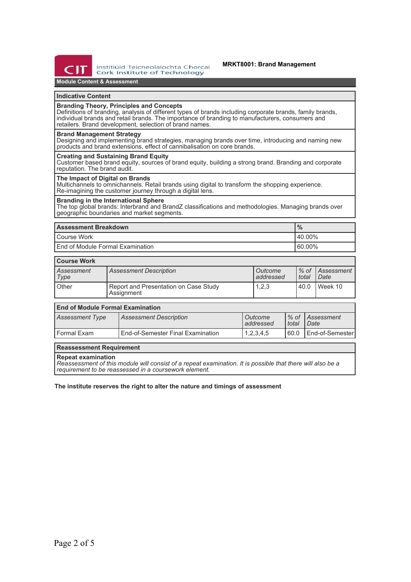

Institiúid Teicneolaíochta Chorcaí **Cork Institute of Technology** 

# **MRKT8001: Brand Management**

# **Module Content & Assessment**

## **Indicative Content**

## **Branding Theory, Principles and Concepts**

Definitions of branding, analysis of different types of brands including corporate brands, family brands, individual brands and retail brands. The importance of branding to manufacturers, consumers and retailers. Brand development, selection of brand names.

#### **Brand Management Strategy**

Designing and implementing brand strategies, managing brands over time, introducing and naming new products and brand extensions, effect of cannibalisation on core brands.

# **Creating and Sustaining Brand Equity**

Customer based brand equity, sources of brand equity, building a strong brand. Branding and corporate reputation. The brand audit.

#### **The Impact of Digital on Brands**

Multichannels to omnichannels. Retail brands using digital to transform the shopping experience. Re-imagining the customer journey through a digital lens.

# **Branding in the International Sphere**

The top global brands: Interbrand and BrandZ classifications and methodologies. Managing brands over geographic boundaries and market segments.

| <b>Assessment Breakdown</b>              | $\frac{9}{6}$ |  |
|------------------------------------------|---------------|--|
| Course Work                              | $140.00\%$    |  |
| <b>Lend of Module Formal Examination</b> | 60.00%        |  |

# **Course Work**

| <b>UUUISE IIUIN</b> |                                                     |                      |       |                            |  |
|---------------------|-----------------------------------------------------|----------------------|-------|----------------------------|--|
| Assessment<br>Type  | <b>Assessment Description</b>                       | Outcome<br>addressed | total | ↓% of   Assessment<br>Date |  |
| Other               | Report and Presentation on Case Study<br>Assignment | 1,2,3                | 40.0  | Week 10                    |  |

| <b>End of Module Formal Examination</b> |                                          |                        |         |                            |  |
|-----------------------------------------|------------------------------------------|------------------------|---------|----------------------------|--|
| <b>Assessment Type</b>                  | <b>Assessment Description</b>            | l Outcome<br>addressed | l total | 1% of Assessment<br>l Date |  |
| l Formal Exam                           | <b>End-of-Semester Final Examination</b> | 1,2,3,4,5              | 160.0   | l End-of-Semester          |  |

## **Reassessment Requirement**

#### **Repeat examination**

*Reassessment of this module will consist of a repeat examination. It is possible that there will also be a requirement to be reassessed in a coursework element.*

## **The institute reserves the right to alter the nature and timings of assessment**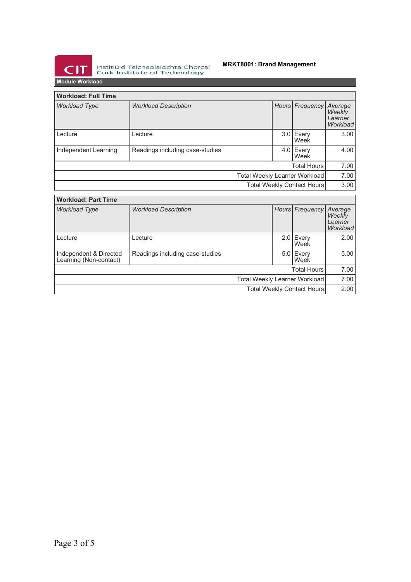

Institiúid Teicneolaíochta Chorcaí<br>Cork Institute of Technology

# **MRKT8001: Brand Management**

**Module Workload**

| <b>Workload: Full Time</b>                       |                                 |  |                    |                   |                                          |
|--------------------------------------------------|---------------------------------|--|--------------------|-------------------|------------------------------------------|
| <b>Workload Type</b>                             | <b>Workload Description</b>     |  | Hours <sup> </sup> | Frequency         | Average<br>Weekly<br>Learner<br>Workload |
| Lecture                                          | Lecture                         |  | 3.0                | Every<br>Week     | 3.00                                     |
| Independent Learning                             | Readings including case-studies |  |                    | 4.0 Every<br>Week | 4.00                                     |
|                                                  | <b>Total Hours</b>              |  |                    |                   | 7.00                                     |
| <b>Total Weekly Learner Workload</b>             |                                 |  |                    |                   | 7.00                                     |
| <b>Total Weekly Contact Hours</b>                |                                 |  |                    | 3.00              |                                          |
| <b>Workload: Part Time</b>                       |                                 |  |                    |                   |                                          |
| <b>Workload Type</b>                             | <b>Workload Description</b>     |  | Hours              | Frequency         | Average<br>Weekly<br>Learner<br>Workload |
| Lecture                                          | Lecture                         |  | 2.01               | Every<br>Week     | 2.00                                     |
| Independent & Directed<br>Learning (Non-contact) | Readings including case-studies |  | 5.0 <sub>1</sub>   | Every<br>Week     | 5.00                                     |
|                                                  | <b>Total Hours</b>              |  |                    | 7.00              |                                          |
| <b>Total Weekly Learner Workload</b>             |                                 |  |                    | 7.00              |                                          |
| Total Weekly Contact Hours                       |                                 |  |                    | 2.00              |                                          |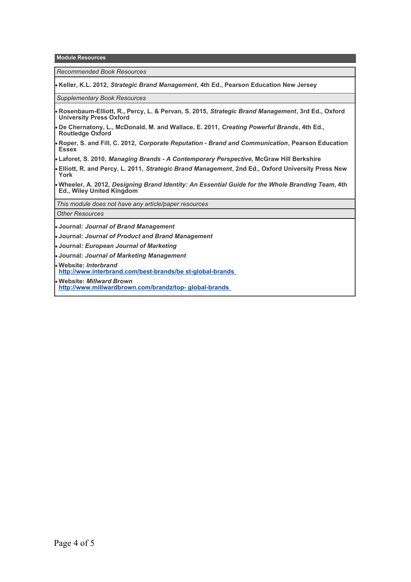**Module Resources**

*Recommended Book Resources*

**Keller, K.L. 2012,** *Strategic Brand Management***, 4th Ed., Pearson Education New Jersey**

*Supplementary Book Resources*

- **Rosenbaum-Elliott, R., Percy, L. & Pervan, S. 2015,** *Strategic Brand Management***, 3rd Ed., Oxford University Press Oxford**
- **De Chernatony, L., McDonald, M. and Wallace, E. 2011,** *Creating Powerful Brands***, 4th Ed., Routledge Oxford**
- **Roper, S. and Fill, C. 2012,** *Corporate Reputation Brand and Communication***, Pearson Education Essex**
- **Laforet, S. 2010,** *Managing Brands A Contemporary Perspective***, McGraw Hill Berkshire**
- **Elliott, R. and Percy, L. 2011,** *Strategic Brand Management***, 2nd Ed., Oxford University Press New York**
- **Wheeler, A. 2012,** *Designing Brand Identity: An Essential Guide for the Whole Branding Team***, 4th Ed., Wiley United Kingdom**

*This module does not have any article/paper resources*

# *Other Resources*

- **Journal:** *Journal of Brand Management*
- **Journal:** *Journal of Product and Brand Management*
- **Journal:** *European Journal of Marketing*
- **Journal:** *Journal of Marketing Management*

**Website:** *Interbrand* **[http://www.interbrand.com/best-brands/be st-global-brands](http://www.interbrand.com/best-brands/best-global-brands)** 

**Website:** *Millward Brown* **[http://www.millwardbrown.com/brandz/top- global-brands](http://www.millwardbrown.com/brandz/top-global-brands)**